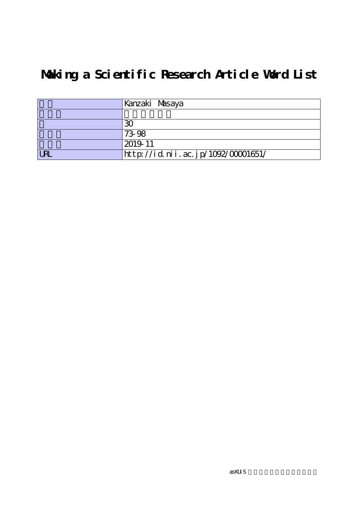# **Making a Scientific Research Article Word List**

|            | Kanzaki Masaya                     |
|------------|------------------------------------|
|            |                                    |
|            | 30                                 |
|            | 73-98                              |
|            | 2019-11                            |
| <b>LRI</b> | http://id.nii.ac.jp/1092/00001651/ |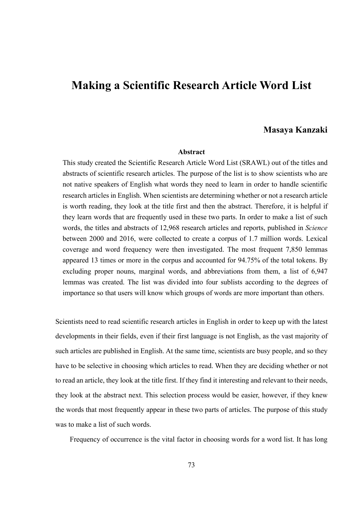# **Making a Scientific Research Article Word List**

## **Masaya Kanzaki**

#### **Abstract**

This study created the Scientific Research Article Word List (SRAWL) out of the titles and abstracts of scientific research articles. The purpose of the list is to show scientists who are not native speakers of English what words they need to learn in order to handle scientific research articles in English. When scientists are determining whether or not a research article is worth reading, they look at the title first and then the abstract. Therefore, it is helpful if they learn words that are frequently used in these two parts. In order to make a list of such words, the titles and abstracts of 12,968 research articles and reports, published in *Science* between 2000 and 2016, were collected to create a corpus of 1.7 million words. Lexical coverage and word frequency were then investigated. The most frequent 7,850 lemmas appeared 13 times or more in the corpus and accounted for 94.75% of the total tokens. By excluding proper nouns, marginal words, and abbreviations from them, a list of 6,947 lemmas was created. The list was divided into four sublists according to the degrees of importance so that users will know which groups of words are more important than others.

Scientists need to read scientific research articles in English in order to keep up with the latest developments in their fields, even if their first language is not English, as the vast majority of such articles are published in English. At the same time, scientists are busy people, and so they have to be selective in choosing which articles to read. When they are deciding whether or not to read an article, they look at the title first. If they find it interesting and relevant to their needs, they look at the abstract next. This selection process would be easier, however, if they knew the words that most frequently appear in these two parts of articles. The purpose of this study was to make a list of such words.

Frequency of occurrence is the vital factor in choosing words for a word list. It has long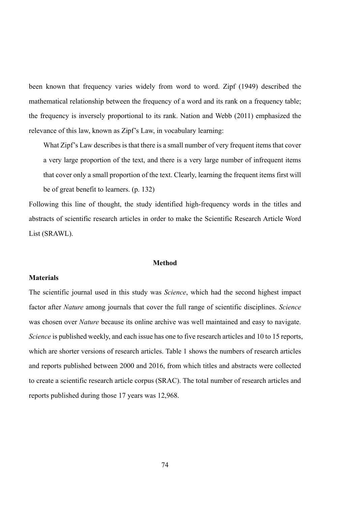been known that frequency varies widely from word to word. Zipf (1949) described the mathematical relationship between the frequency of a word and its rank on a frequency table; the frequency is inversely proportional to its rank. Nation and Webb (2011) emphasized the relevance of this law, known as Zipf's Law, in vocabulary learning:

What Zipf's Law describes is that there is a small number of very frequent items that cover a very large proportion of the text, and there is a very large number of infrequent items that cover only a small proportion of the text. Clearly, learning the frequent items first will be of great benefit to learners. (p. 132)

Following this line of thought, the study identified high-frequency words in the titles and abstracts of scientific research articles in order to make the Scientific Research Article Word List (SRAWL).

## **Method**

#### **Materials**

The scientific journal used in this study was *Science*, which had the second highest impact factor after *Nature* among journals that cover the full range of scientific disciplines. *Science* was chosen over *Nature* because its online archive was well maintained and easy to navigate. *Science* is published weekly, and each issue has one to five research articles and 10 to 15 reports, which are shorter versions of research articles. Table 1 shows the numbers of research articles and reports published between 2000 and 2016, from which titles and abstracts were collected to create a scientific research article corpus (SRAC). The total number of research articles and reports published during those 17 years was 12,968.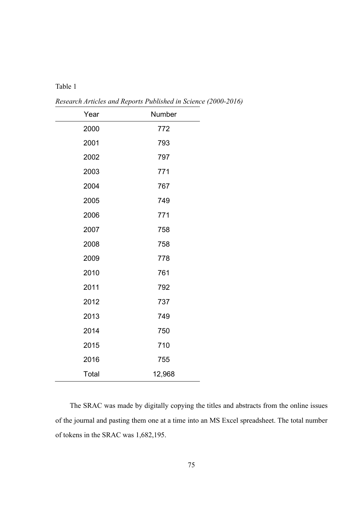## Table 1

| Year  | Number |
|-------|--------|
| 2000  | 772    |
| 2001  | 793    |
| 2002  | 797    |
| 2003  | 771    |
| 2004  | 767    |
| 2005  | 749    |
| 2006  | 771    |
| 2007  | 758    |
| 2008  | 758    |
| 2009  | 778    |
| 2010  | 761    |
| 2011  | 792    |
| 2012  | 737    |
| 2013  | 749    |
| 2014  | 750    |
| 2015  | 710    |
| 2016  | 755    |
| Total | 12,968 |

*Research Articles and Reports Published in Science (2000-2016)* 

The SRAC was made by digitally copying the titles and abstracts from the online issues of the journal and pasting them one at a time into an MS Excel spreadsheet. The total number of tokens in the SRAC was 1,682,195.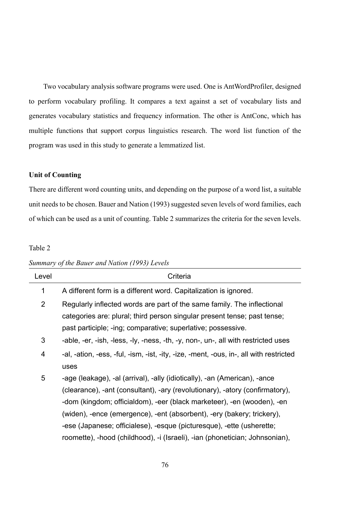Two vocabulary analysis software programs were used. One is AntWordProfiler, designed to perform vocabulary profiling. It compares a text against a set of vocabulary lists and generates vocabulary statistics and frequency information. The other is AntConc, which has multiple functions that support corpus linguistics research. The word list function of the program was used in this study to generate a lemmatized list.

## **Unit of Counting**

There are different word counting units, and depending on the purpose of a word list, a suitable unit needs to be chosen. Bauer and Nation (1993) suggested seven levels of word families, each of which can be used as a unit of counting. Table 2 summarizes the criteria for the seven levels.

## Table 2

| Criteria                                                                                                                                                                                                                                                                                                                                                                                                                                                              |
|-----------------------------------------------------------------------------------------------------------------------------------------------------------------------------------------------------------------------------------------------------------------------------------------------------------------------------------------------------------------------------------------------------------------------------------------------------------------------|
| A different form is a different word. Capitalization is ignored.                                                                                                                                                                                                                                                                                                                                                                                                      |
| Regularly inflected words are part of the same family. The inflectional<br>categories are: plural; third person singular present tense; past tense;<br>past participle; -ing; comparative; superlative; possessive.                                                                                                                                                                                                                                                   |
| -able, -er, -ish, -less, -ly, -ness, -th, -y, non-, un-, all with restricted uses                                                                                                                                                                                                                                                                                                                                                                                     |
| -al, -ation, -ess, -ful, -ism, -ist, -ity, -ize, -ment, -ous, in-, all with restricted<br>uses                                                                                                                                                                                                                                                                                                                                                                        |
| -age (leakage), -al (arrival), -ally (idiotically), -an (American), -ance<br>(clearance), -ant (consultant), -ary (revolutionary), -atory (confirmatory),<br>-dom (kingdom; officialdom), -eer (black marketeer), -en (wooden), -en<br>(widen), -ence (emergence), -ent (absorbent), -ery (bakery; trickery),<br>-ese (Japanese; officialese), -esque (picturesque), -ette (usherette;<br>roomette), -hood (childhood), -i (Israeli), -ian (phonetician; Johnsonian), |
|                                                                                                                                                                                                                                                                                                                                                                                                                                                                       |

## *Summary of the Bauer and Nation (1993) Levels*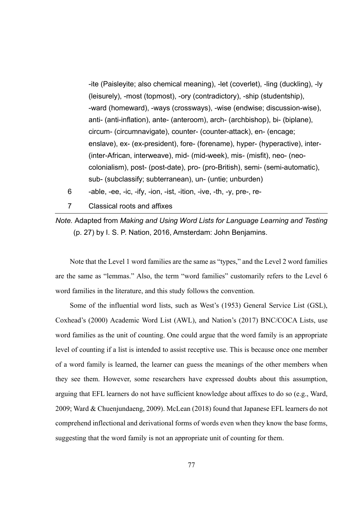-ite (Paisleyite; also chemical meaning), -let (coverlet), -ling (duckling), -ly (leisurely), -most (topmost), -ory (contradictory), -ship (studentship), -ward (homeward), -ways (crossways), -wise (endwise; discussion-wise), anti- (anti-inflation), ante- (anteroom), arch- (archbishop), bi- (biplane), circum- (circumnavigate), counter- (counter-attack), en- (encage; enslave), ex- (ex-president), fore- (forename), hyper- (hyperactive), inter- (inter-African, interweave), mid- (mid-week), mis- (misfit), neo- (neocolonialism), post- (post-date), pro- (pro-British), semi- (semi-automatic), sub- (subclassify; subterranean), un- (untie; unburden)

- 6 -able, -ee, -ic, -ify, -ion, -ist, -ition, -ive, -th, -y, pre-, re-
- 7 Classical roots and affixes

*Note.* Adapted from *Making and Using Word Lists for Language Learning and Testing*  (p. 27) by I. S. P. Nation, 2016, Amsterdam: John Benjamins.

Note that the Level 1 word families are the same as "types," and the Level 2 word families are the same as "lemmas." Also, the term "word families" customarily refers to the Level 6 word families in the literature, and this study follows the convention.

Some of the influential word lists, such as West's (1953) General Service List (GSL), Coxhead's (2000) Academic Word List (AWL), and Nation's (2017) BNC/COCA Lists, use word families as the unit of counting. One could argue that the word family is an appropriate level of counting if a list is intended to assist receptive use. This is because once one member of a word family is learned, the learner can guess the meanings of the other members when they see them. However, some researchers have expressed doubts about this assumption, arguing that EFL learners do not have sufficient knowledge about affixes to do so (e.g., Ward, 2009; Ward & Chuenjundaeng, 2009). McLean (2018) found that Japanese EFL learners do not comprehend inflectional and derivational forms of words even when they know the base forms, suggesting that the word family is not an appropriate unit of counting for them.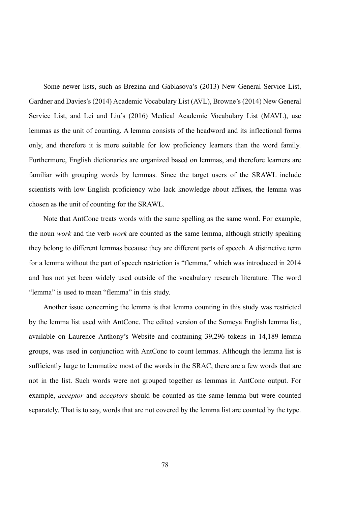Some newer lists, such as Brezina and Gablasova's (2013) New General Service List, Gardner and Davies's (2014) Academic Vocabulary List (AVL), Browne's (2014) New General Service List, and Lei and Liu's (2016) Medical Academic Vocabulary List (MAVL), use lemmas as the unit of counting. A lemma consists of the headword and its inflectional forms only, and therefore it is more suitable for low proficiency learners than the word family. Furthermore, English dictionaries are organized based on lemmas, and therefore learners are familiar with grouping words by lemmas. Since the target users of the SRAWL include scientists with low English proficiency who lack knowledge about affixes, the lemma was chosen as the unit of counting for the SRAWL.

Note that AntConc treats words with the same spelling as the same word. For example, the noun *work* and the verb *work* are counted as the same lemma, although strictly speaking they belong to different lemmas because they are different parts of speech. A distinctive term for a lemma without the part of speech restriction is "flemma," which was introduced in 2014 and has not yet been widely used outside of the vocabulary research literature. The word "lemma" is used to mean "flemma" in this study.

Another issue concerning the lemma is that lemma counting in this study was restricted by the lemma list used with AntConc. The edited version of the Someya English lemma list, available on Laurence Anthony's Website and containing 39,296 tokens in 14,189 lemma groups, was used in conjunction with AntConc to count lemmas. Although the lemma list is sufficiently large to lemmatize most of the words in the SRAC, there are a few words that are not in the list. Such words were not grouped together as lemmas in AntConc output. For example, *acceptor* and *acceptors* should be counted as the same lemma but were counted separately. That is to say, words that are not covered by the lemma list are counted by the type.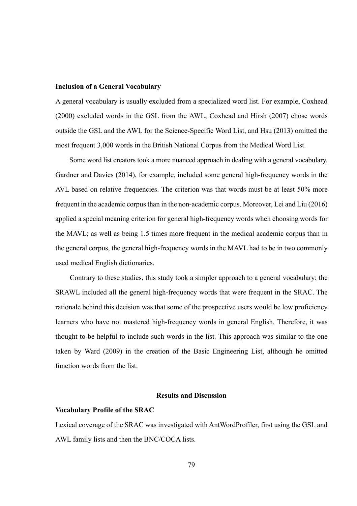#### **Inclusion of a General Vocabulary**

A general vocabulary is usually excluded from a specialized word list. For example, Coxhead (2000) excluded words in the GSL from the AWL, Coxhead and Hirsh (2007) chose words outside the GSL and the AWL for the Science-Specific Word List, and Hsu (2013) omitted the most frequent 3,000 words in the British National Corpus from the Medical Word List.

Some word list creators took a more nuanced approach in dealing with a general vocabulary. Gardner and Davies (2014), for example, included some general high-frequency words in the AVL based on relative frequencies. The criterion was that words must be at least 50% more frequent in the academic corpus than in the non-academic corpus. Moreover, Lei and Liu (2016) applied a special meaning criterion for general high-frequency words when choosing words for the MAVL; as well as being 1.5 times more frequent in the medical academic corpus than in the general corpus, the general high-frequency words in the MAVL had to be in two commonly used medical English dictionaries.

Contrary to these studies, this study took a simpler approach to a general vocabulary; the SRAWL included all the general high-frequency words that were frequent in the SRAC. The rationale behind this decision was that some of the prospective users would be low proficiency learners who have not mastered high-frequency words in general English. Therefore, it was thought to be helpful to include such words in the list. This approach was similar to the one taken by Ward (2009) in the creation of the Basic Engineering List, although he omitted function words from the list.

## **Results and Discussion**

#### **Vocabulary Profile of the SRAC**

Lexical coverage of the SRAC was investigated with AntWordProfiler, first using the GSL and AWL family lists and then the BNC/COCA lists.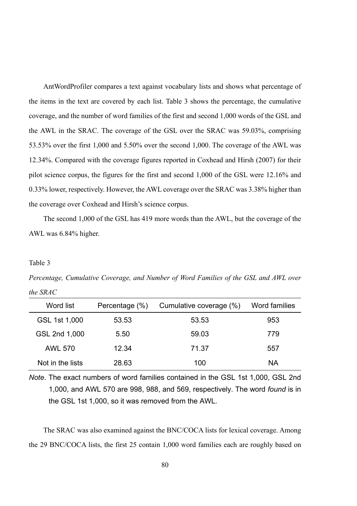AntWordProfiler compares a text against vocabulary lists and shows what percentage of the items in the text are covered by each list. Table 3 shows the percentage, the cumulative coverage, and the number of word families of the first and second 1,000 words of the GSL and the AWL in the SRAC. The coverage of the GSL over the SRAC was 59.03%, comprising 53.53% over the first 1,000 and 5.50% over the second 1,000. The coverage of the AWL was 12.34%. Compared with the coverage figures reported in Coxhead and Hirsh (2007) for their pilot science corpus, the figures for the first and second 1,000 of the GSL were 12.16% and 0.33% lower, respectively. However, the AWL coverage over the SRAC was 3.38% higher than the coverage over Coxhead and Hirsh's science corpus.

The second 1,000 of the GSL has 419 more words than the AWL, but the coverage of the AWL was 6.84% higher.

## Table 3

*Percentage, Cumulative Coverage, and Number of Word Families of the GSL and AWL over the SRAC* 

| Word list        | Percentage (%) | Cumulative coverage (%) | Word families |
|------------------|----------------|-------------------------|---------------|
| GSL 1st 1,000    | 53.53          | 53.53                   | 953           |
| GSL 2nd 1,000    | 5.50           | 59.03                   | 779           |
| <b>AWL 570</b>   | 12.34          | 71.37                   | 557           |
| Not in the lists | 28.63          | 100                     | NA            |

*Note*. The exact numbers of word families contained in the GSL 1st 1,000, GSL 2nd 1,000, and AWL 570 are 998, 988, and 569, respectively. The word *found* is in the GSL 1st 1,000, so it was removed from the AWL.

The SRAC was also examined against the BNC/COCA lists for lexical coverage. Among the 29 BNC/COCA lists, the first 25 contain 1,000 word families each are roughly based on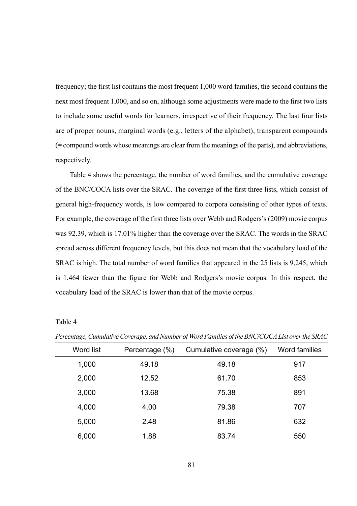frequency; the first list contains the most frequent 1,000 word families, the second contains the next most frequent 1,000, and so on, although some adjustments were made to the first two lists to include some useful words for learners, irrespective of their frequency. The last four lists are of proper nouns, marginal words (e.g., letters of the alphabet), transparent compounds (= compound words whose meanings are clear from the meanings of the parts), and abbreviations, respectively.

Table 4 shows the percentage, the number of word families, and the cumulative coverage of the BNC/COCA lists over the SRAC. The coverage of the first three lists, which consist of general high-frequency words, is low compared to corpora consisting of other types of texts. For example, the coverage of the first three lists over Webb and Rodgers's (2009) movie corpus was 92.39, which is 17.01% higher than the coverage over the SRAC. The words in the SRAC spread across different frequency levels, but this does not mean that the vocabulary load of the SRAC is high. The total number of word families that appeared in the 25 lists is 9,245, which is 1,464 fewer than the figure for Webb and Rodgers's movie corpus. In this respect, the vocabulary load of the SRAC is lower than that of the movie corpus.

| Word list | Percentage (%) | Cumulative coverage (%) | Word families |
|-----------|----------------|-------------------------|---------------|
| 1,000     | 49.18          | 49.18                   | 917           |
| 2,000     | 12.52          | 61.70                   | 853           |
| 3,000     | 13.68          | 75.38                   | 891           |
| 4,000     | 4.00           | 79.38                   | 707           |
| 5,000     | 2.48           | 81.86                   | 632           |
| 6.000     | 1.88           | 83.74                   | 550           |

*Percentage, Cumulative Coverage, and Number of Word Families of the BNC/COCA List over the SRAC*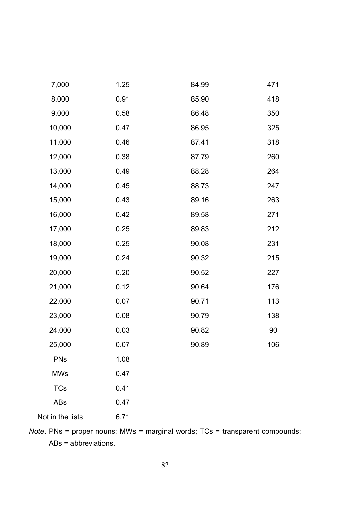| 7,000            | 1.25 | 84.99 | 471 |
|------------------|------|-------|-----|
| 8,000            | 0.91 | 85.90 | 418 |
| 9,000            | 0.58 | 86.48 | 350 |
| 10,000           | 0.47 | 86.95 | 325 |
| 11,000           | 0.46 | 87.41 | 318 |
| 12,000           | 0.38 | 87.79 | 260 |
| 13,000           | 0.49 | 88.28 | 264 |
| 14,000           | 0.45 | 88.73 | 247 |
| 15,000           | 0.43 | 89.16 | 263 |
| 16,000           | 0.42 | 89.58 | 271 |
| 17,000           | 0.25 | 89.83 | 212 |
| 18,000           | 0.25 | 90.08 | 231 |
| 19,000           | 0.24 | 90.32 | 215 |
| 20,000           | 0.20 | 90.52 | 227 |
| 21,000           | 0.12 | 90.64 | 176 |
| 22,000           | 0.07 | 90.71 | 113 |
| 23,000           | 0.08 | 90.79 | 138 |
| 24,000           | 0.03 | 90.82 | 90  |
| 25,000           | 0.07 | 90.89 | 106 |
| PNs              | 1.08 |       |     |
| <b>MWs</b>       | 0.47 |       |     |
| TCs              | 0.41 |       |     |
| ABs              | 0.47 |       |     |
| Not in the lists | 6.71 |       |     |

*Note*. PNs = proper nouns; MWs = marginal words; TCs = transparent compounds; ABs = abbreviations.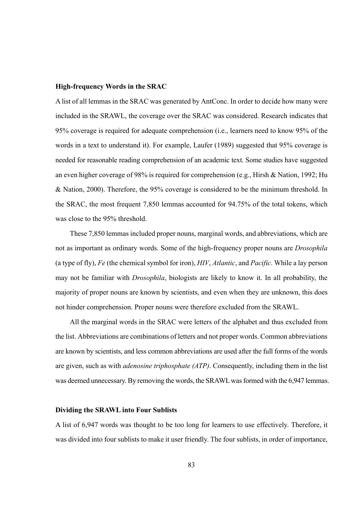#### **High-frequency Words in the SRAC**

A list of all lemmas in the SRAC was generated by AntConc. In order to decide how many were included in the SRAWL, the coverage over the SRAC was considered. Research indicates that 95% coverage is required for adequate comprehension (i.e., learners need to know 95% of the words in a text to understand it). For example, Laufer (1989) suggested that 95% coverage is needed for reasonable reading comprehension of an academic text. Some studies have suggested an even higher coverage of 98% is required for comprehension (e.g., Hirsh & Nation, 1992; Hu & Nation, 2000). Therefore, the 95% coverage is considered to be the minimum threshold. In the SRAC, the most frequent 7,850 lemmas accounted for 94.75% of the total tokens, which was close to the 95% threshold.

These 7,850 lemmas included proper nouns, marginal words, and abbreviations, which are not as important as ordinary words. Some of the high-frequency proper nouns are *Drosophila* (a type of fly), *Fe* (the chemical symbol for iron), *HIV*, *Atlantic*, and *Pacific*. While a lay person may not be familiar with *Drosophila*, biologists are likely to know it. In all probability, the majority of proper nouns are known by scientists, and even when they are unknown, this does not hinder comprehension. Proper nouns were therefore excluded from the SRAWL.

All the marginal words in the SRAC were letters of the alphabet and thus excluded from the list. Abbreviations are combinations of letters and not proper words. Common abbreviations are known by scientists, and less common abbreviations are used after the full forms of the words are given, such as with *adenosine triphosphate (ATP)*. Consequently, including them in the list was deemed unnecessary. By removing the words, the SRAWL was formed with the 6,947 lemmas.

#### **Dividing the SRAWL into Four Sublists**

A list of 6,947 words was thought to be too long for learners to use effectively. Therefore, it was divided into four sublists to make it user friendly. The four sublists, in order of importance,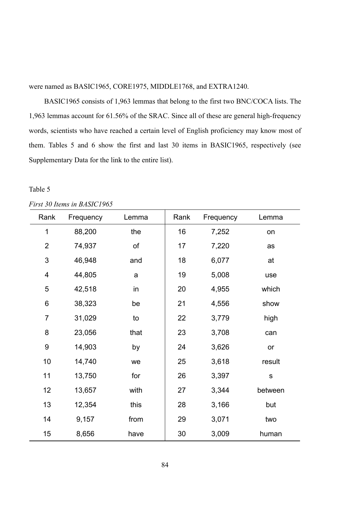were named as BASIC1965, CORE1975, MIDDLE1768, and EXTRA1240.

 BASIC1965 consists of 1,963 lemmas that belong to the first two BNC/COCA lists. The 1,963 lemmas account for 61.56% of the SRAC. Since all of these are general high-frequency words, scientists who have reached a certain level of English proficiency may know most of them. Tables 5 and 6 show the first and last 30 items in BASIC1965, respectively (see Supplementary Data for the link to the entire list).

| Rank           | Frequency | Lemma | Rank | Frequency | Lemma   |
|----------------|-----------|-------|------|-----------|---------|
| 1              | 88,200    | the   | 16   | 7,252     | on      |
| $\overline{c}$ | 74,937    | of    | 17   | 7,220     | as      |
| 3              | 46,948    | and   | 18   | 6,077     | at      |
| 4              | 44,805    | a     | 19   | 5,008     | use     |
| 5              | 42,518    | in    | 20   | 4,955     | which   |
| 6              | 38,323    | be    | 21   | 4,556     | show    |
| 7              | 31,029    | to    | 22   | 3,779     | high    |
| 8              | 23,056    | that  | 23   | 3,708     | can     |
| 9              | 14,903    | by    | 24   | 3,626     | or      |
| 10             | 14,740    | we    | 25   | 3,618     | result  |
| 11             | 13,750    | for   | 26   | 3,397     | s       |
| 12             | 13,657    | with  | 27   | 3,344     | between |
| 13             | 12,354    | this  | 28   | 3,166     | but     |
| 14             | 9,157     | from  | 29   | 3,071     | two     |
| 15             | 8,656     | have  | 30   | 3,009     | human   |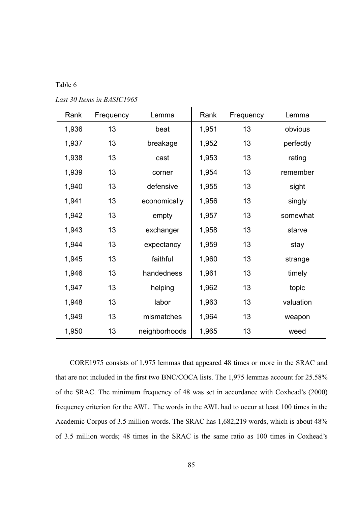Table 6

| Rank  | Frequency | Lemma         | Rank  | Frequency | Lemma     |
|-------|-----------|---------------|-------|-----------|-----------|
| 1,936 | 13        | beat          | 1,951 | 13        | obvious   |
| 1,937 | 13        | breakage      | 1,952 | 13        | perfectly |
| 1,938 | 13        | cast          | 1,953 | 13        | rating    |
| 1,939 | 13        | corner        | 1,954 | 13        | remember  |
| 1,940 | 13        | defensive     | 1,955 | 13        | sight     |
| 1,941 | 13        | economically  | 1,956 | 13        | singly    |
| 1,942 | 13        | empty         | 1,957 | 13        | somewhat  |
| 1,943 | 13        | exchanger     | 1,958 | 13        | starve    |
| 1,944 | 13        | expectancy    | 1,959 | 13        | stay      |
| 1,945 | 13        | faithful      | 1,960 | 13        | strange   |
| 1,946 | 13        | handedness    | 1,961 | 13        | timely    |
| 1,947 | 13        | helping       | 1,962 | 13        | topic     |
| 1,948 | 13        | labor         | 1,963 | 13        | valuation |
| 1,949 | 13        | mismatches    | 1,964 | 13        | weapon    |
| 1,950 | 13        | neighborhoods | 1,965 | 13        | weed      |

CORE1975 consists of 1,975 lemmas that appeared 48 times or more in the SRAC and that are not included in the first two BNC/COCA lists. The 1,975 lemmas account for 25.58% of the SRAC. The minimum frequency of 48 was set in accordance with Coxhead's (2000) frequency criterion for the AWL. The words in the AWL had to occur at least 100 times in the Academic Corpus of 3.5 million words. The SRAC has 1,682,219 words, which is about 48% of 3.5 million words; 48 times in the SRAC is the same ratio as 100 times in Coxhead's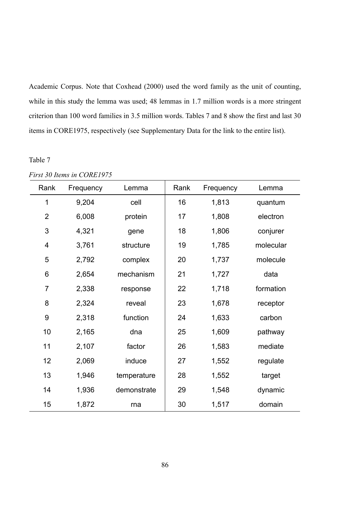Academic Corpus. Note that Coxhead (2000) used the word family as the unit of counting, while in this study the lemma was used; 48 lemmas in 1.7 million words is a more stringent criterion than 100 word families in 3.5 million words. Tables 7 and 8 show the first and last 30 items in CORE1975, respectively (see Supplementary Data for the link to the entire list).

| Rank           | Frequency | Lemma       | Rank | Frequency | Lemma     |  |
|----------------|-----------|-------------|------|-----------|-----------|--|
| 1              | 9,204     | cell        | 16   | 1,813     | quantum   |  |
| $\overline{2}$ | 6,008     | protein     | 17   | 1,808     | electron  |  |
| 3              | 4,321     | gene        | 18   | 1,806     | conjurer  |  |
| 4              | 3,761     | structure   | 19   | 1,785     | molecular |  |
| 5              | 2,792     | complex     | 20   | 1,737     | molecule  |  |
| 6              | 2,654     | mechanism   | 21   | 1,727     | data      |  |
| 7              | 2,338     | response    | 22   | 1,718     | formation |  |
| 8              | 2,324     | reveal      | 23   | 1,678     | receptor  |  |
| 9              | 2,318     | function    | 24   | 1,633     | carbon    |  |
| 10             | 2,165     | dna         | 25   | 1,609     | pathway   |  |
| 11             | 2,107     | factor      | 26   | 1,583     | mediate   |  |
| 12             | 2,069     | induce      | 27   | 1,552     | regulate  |  |
| 13             | 1,946     | temperature | 28   | 1,552     | target    |  |
| 14             | 1,936     | demonstrate | 29   | 1,548     | dynamic   |  |
| 15             | 1,872     | rna         | 30   | 1,517     | domain    |  |

*First 30 Items in CORE1975*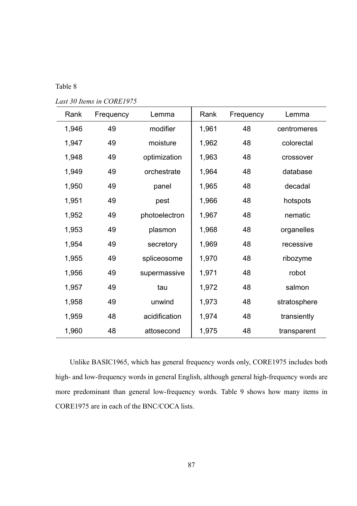Table 8

| Rank  | Frequency | Lemma         | Rank  | Frequency | Lemma        |
|-------|-----------|---------------|-------|-----------|--------------|
| 1,946 | 49        | modifier      | 1,961 | 48        | centromeres  |
| 1,947 | 49        | moisture      | 1,962 | 48        | colorectal   |
| 1,948 | 49        | optimization  | 1,963 | 48        | crossover    |
| 1,949 | 49        | orchestrate   | 1,964 | 48        | database     |
| 1,950 | 49        | panel         | 1,965 | 48        | decadal      |
| 1,951 | 49        | pest          | 1,966 | 48        | hotspots     |
| 1,952 | 49        | photoelectron | 1,967 | 48        | nematic      |
| 1,953 | 49        | plasmon       | 1,968 | 48        | organelles   |
| 1,954 | 49        | secretory     | 1,969 | 48        | recessive    |
| 1,955 | 49        | spliceosome   | 1,970 | 48        | ribozyme     |
| 1,956 | 49        | supermassive  | 1,971 | 48        | robot        |
| 1,957 | 49        | tau           | 1,972 | 48        | salmon       |
| 1,958 | 49        | unwind        | 1,973 | 48        | stratosphere |
| 1,959 | 48        | acidification | 1,974 | 48        | transiently  |
| 1,960 | 48        | attosecond    | 1,975 | 48        | transparent  |

*Last 30 Items in CORE1975* 

Unlike BASIC1965, which has general frequency words only, CORE1975 includes both high- and low-frequency words in general English, although general high-frequency words are more predominant than general low-frequency words. Table 9 shows how many items in CORE1975 are in each of the BNC/COCA lists.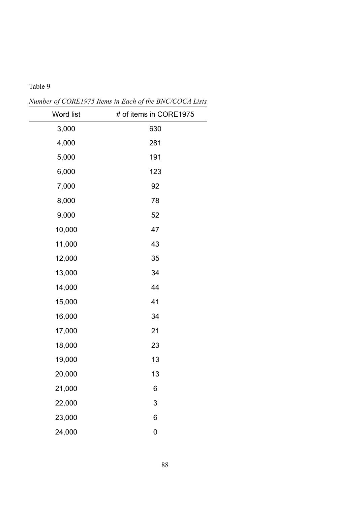*Number of CORE1975 Items in Each of the BNC/COCA Lists* 

| Word list | # of items in CORE1975 |
|-----------|------------------------|
| 3,000     | 630                    |
| 4,000     | 281                    |
| 5,000     | 191                    |
| 6,000     | 123                    |
| 7,000     | 92                     |
| 8,000     | 78                     |
| 9,000     | 52                     |
| 10,000    | 47                     |
| 11,000    | 43                     |
| 12,000    | 35                     |
| 13,000    | 34                     |
| 14,000    | 44                     |
| 15,000    | 41                     |
| 16,000    | 34                     |
| 17,000    | 21                     |
| 18,000    | 23                     |
| 19,000    | 13                     |
| 20,000    | 13                     |
| 21,000    | 6                      |
| 22,000    | 3                      |
| 23,000    | 6                      |
| 24,000    | 0                      |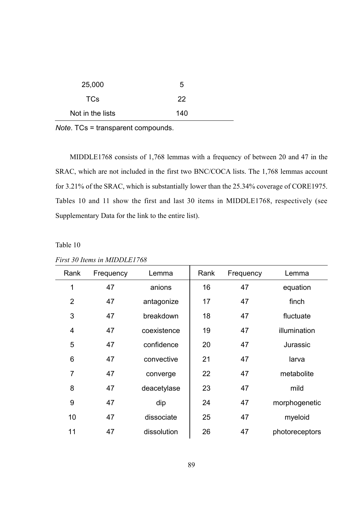| 25,000           | 5   |
|------------------|-----|
| <b>TCs</b>       | 22  |
| Not in the lists | 140 |

*Note*. TCs = transparent compounds.

MIDDLE1768 consists of 1,768 lemmas with a frequency of between 20 and 47 in the SRAC, which are not included in the first two BNC/COCA lists. The 1,768 lemmas account for 3.21% of the SRAC, which is substantially lower than the 25.34% coverage of CORE1975. Tables 10 and 11 show the first and last 30 items in MIDDLE1768, respectively (see Supplementary Data for the link to the entire list).

Table 10

| Rank | Frequency | Lemma       | Rank | Frequency | Lemma          |
|------|-----------|-------------|------|-----------|----------------|
| 1    | 47        | anions      | 16   | 47        | equation       |
| 2    | 47        | antagonize  | 17   | 47        | finch          |
| 3    | 47        | breakdown   | 18   | 47        | fluctuate      |
| 4    | 47        | coexistence | 19   | 47        | illumination   |
| 5    | 47        | confidence  | 20   | 47        | Jurassic       |
| 6    | 47        | convective  | 21   | 47        | larva          |
| 7    | 47        | converge    | 22   | 47        | metabolite     |
| 8    | 47        | deacetylase | 23   | 47        | mild           |
| 9    | 47        | dip         | 24   | 47        | morphogenetic  |
| 10   | 47        | dissociate  | 25   | 47        | myeloid        |
| 11   | 47        | dissolution | 26   | 47        | photoreceptors |
|      |           |             |      |           |                |

*First 30 Items in MIDDLE1768*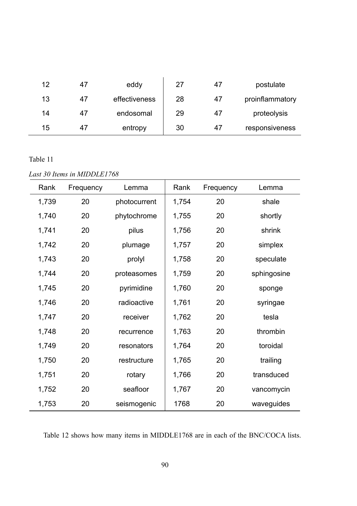| 12 | 47 | eddy          | 27 | 47 | postulate       |
|----|----|---------------|----|----|-----------------|
| 13 | 47 | effectiveness | 28 | 47 | proinflammatory |
| 14 | 47 | endosomal     | 29 | 47 | proteolysis     |
| 15 | 47 | entropy       | 30 | 47 | responsiveness  |

## Table 11

 $\overline{\phantom{a}}$ 

*Last 30 Items in MIDDLE1768* 

| Rank  | Frequency | Lemma        | Rank  | Frequency | Lemma       |
|-------|-----------|--------------|-------|-----------|-------------|
| 1,739 | 20        | photocurrent | 1,754 | 20        | shale       |
| 1,740 | 20        | phytochrome  | 1,755 | 20        | shortly     |
| 1,741 | 20        | pilus        | 1,756 | 20        | shrink      |
| 1,742 | 20        | plumage      | 1,757 | 20        | simplex     |
| 1,743 | 20        | prolyl       | 1,758 | 20        | speculate   |
| 1,744 | 20        | proteasomes  | 1,759 | 20        | sphingosine |
| 1,745 | 20        | pyrimidine   | 1,760 | 20        | sponge      |
| 1,746 | 20        | radioactive  | 1,761 | 20        | syringae    |
| 1,747 | 20        | receiver     | 1,762 | 20        | tesla       |
| 1,748 | 20        | recurrence   | 1,763 | 20        | thrombin    |
| 1,749 | 20        | resonators   | 1,764 | 20        | toroidal    |
| 1,750 | 20        | restructure  | 1,765 | 20        | trailing    |
| 1,751 | 20        | rotary       | 1,766 | 20        | transduced  |
| 1,752 | 20        | seafloor     | 1,767 | 20        | vancomycin  |
| 1,753 | 20        | seismogenic  | 1768  | 20        | waveguides  |

Table 12 shows how many items in MIDDLE1768 are in each of the BNC/COCA lists.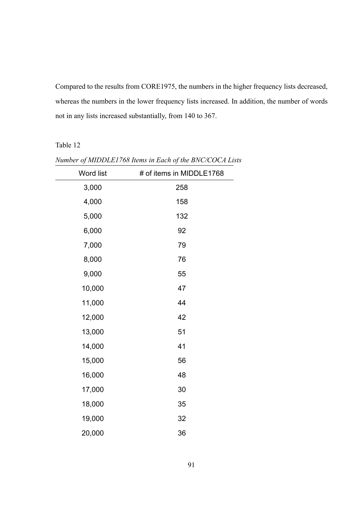Compared to the results from CORE1975, the numbers in the higher frequency lists decreased, whereas the numbers in the lower frequency lists increased. In addition, the number of words not in any lists increased substantially, from 140 to 367.

| Word list | # of items in MIDDLE1768 |
|-----------|--------------------------|
| 3,000     | 258                      |
| 4,000     | 158                      |
| 5,000     | 132                      |
| 6,000     | 92                       |
| 7,000     | 79                       |
| 8,000     | 76                       |
| 9,000     | 55                       |
| 10,000    | 47                       |
| 11,000    | 44                       |
| 12,000    | 42                       |
| 13,000    | 51                       |
| 14,000    | 41                       |
| 15,000    | 56                       |
| 16,000    | 48                       |
| 17,000    | 30                       |
| 18,000    | 35                       |
| 19,000    | 32                       |
| 20,000    | 36                       |

*Number of MIDDLE1768 Items in Each of the BNC/COCA Lists*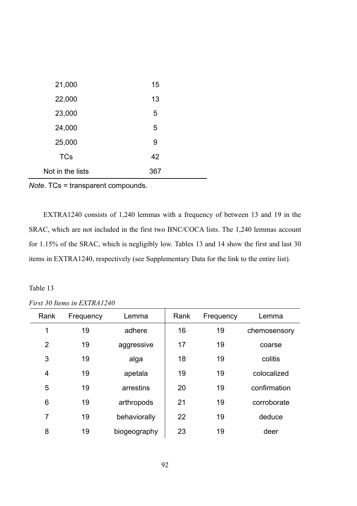| 21,000           | 15  |
|------------------|-----|
| 22,000           | 13  |
| 23,000           | 5   |
| 24,000           | 5   |
| 25,000           | 9   |
| <b>TCs</b>       | 42  |
| Not in the lists | 367 |

*Note*. TCs = transparent compounds.

EXTRA1240 consists of 1,240 lemmas with a frequency of between 13 and 19 in the SRAC, which are not included in the first two BNC/COCA lists. The 1,240 lemmas account for 1.15% of the SRAC, which is negligibly low. Tables 13 and 14 show the first and last 30 items in EXTRA1240, respectively (see Supplementary Data for the link to the entire list).

## Table 13

## *First 30 Items in EXTRA1240*

| Rank | Frequency | Lemma        | Rank | Frequency | Lemma        |
|------|-----------|--------------|------|-----------|--------------|
| 1    | 19        | adhere       | 16   | 19        | chemosensory |
| 2    | 19        | aggressive   | 17   | 19        | coarse       |
| 3    | 19        | alga         | 18   | 19        | colitis      |
| 4    | 19        | apetala      | 19   | 19        | colocalized  |
| 5    | 19        | arrestins    | 20   | 19        | confirmation |
| 6    | 19        | arthropods   | 21   | 19        | corroborate  |
| 7    | 19        | behaviorally | 22   | 19        | deduce       |
| 8    | 19        | biogeography | 23   | 19        | deer         |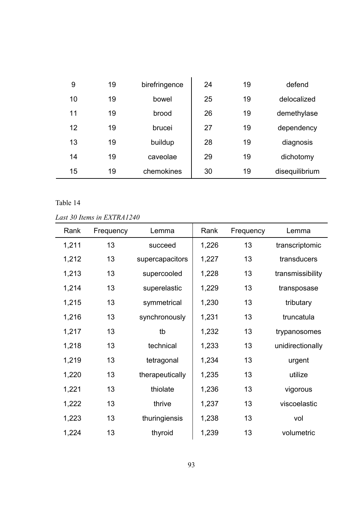| 9  | 19 | birefringence | 24 | 19 | defend         |
|----|----|---------------|----|----|----------------|
| 10 | 19 | bowel         | 25 | 19 | delocalized    |
| 11 | 19 | brood         | 26 | 19 | demethylase    |
| 12 | 19 | brucei        | 27 | 19 | dependency     |
| 13 | 19 | buildup       | 28 | 19 | diagnosis      |
| 14 | 19 | caveolae      | 29 | 19 | dichotomy      |
| 15 | 19 | chemokines    | 30 | 19 | disequilibrium |

# Table 14

## *Last 30 Items in EXTRA1240*

| Rank  | Frequency | Lemma           | Rank  | Frequency | Lemma            |
|-------|-----------|-----------------|-------|-----------|------------------|
| 1,211 | 13        | succeed         | 1,226 | 13        | transcriptomic   |
| 1,212 | 13        | supercapacitors | 1,227 | 13        | transducers      |
| 1,213 | 13        | supercooled     | 1,228 | 13        | transmissibility |
| 1,214 | 13        | superelastic    | 1,229 | 13        | transposase      |
| 1,215 | 13        | symmetrical     | 1,230 | 13        | tributary        |
| 1,216 | 13        | synchronously   | 1,231 | 13        | truncatula       |
| 1,217 | 13        | tb              | 1,232 | 13        | trypanosomes     |
| 1,218 | 13        | technical       | 1,233 | 13        | unidirectionally |
| 1,219 | 13        | tetragonal      | 1,234 | 13        | urgent           |
| 1,220 | 13        | therapeutically | 1,235 | 13        | utilize          |
| 1,221 | 13        | thiolate        | 1,236 | 13        | vigorous         |
| 1,222 | 13        | thrive          | 1,237 | 13        | viscoelastic     |
| 1,223 | 13        | thuringiensis   | 1,238 | 13        | vol              |
| 1,224 | 13        | thyroid         | 1,239 | 13        | volumetric       |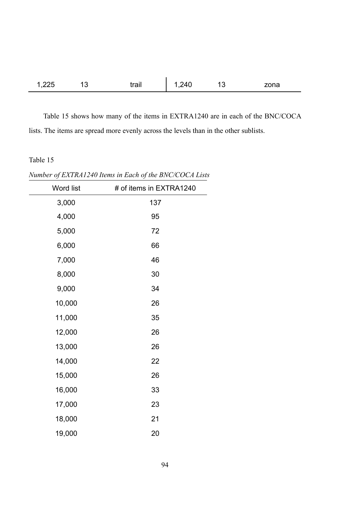| 1,225 13 |  | trail $\begin{vmatrix} 1,240 & 13 \end{vmatrix}$ | zona |
|----------|--|--------------------------------------------------|------|

Table 15 shows how many of the items in EXTRA1240 are in each of the BNC/COCA lists. The items are spread more evenly across the levels than in the other sublists.

*Number of EXTRA1240 Items in Each of the BNC/COCA Lists* 

| Word list | # of items in EXTRA1240 |
|-----------|-------------------------|
| 3,000     | 137                     |
| 4,000     | 95                      |
| 5,000     | 72                      |
| 6,000     | 66                      |
| 7,000     | 46                      |
| 8,000     | 30                      |
| 9,000     | 34                      |
| 10,000    | 26                      |
| 11,000    | 35                      |
| 12,000    | 26                      |
| 13,000    | 26                      |
| 14,000    | 22                      |
| 15,000    | 26                      |
| 16,000    | 33                      |
| 17,000    | 23                      |
| 18,000    | 21                      |
| 19,000    | 20                      |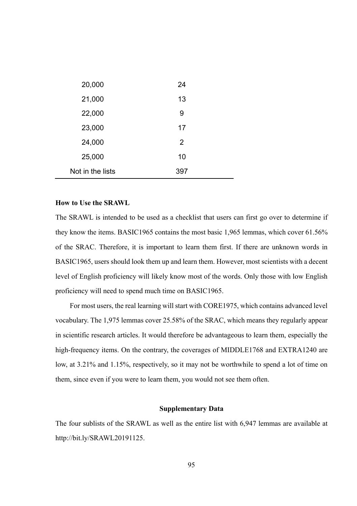| 20,000           | 24  |
|------------------|-----|
| 21,000           | 13  |
| 22,000           | 9   |
| 23,000           | 17  |
| 24,000           | 2   |
| 25,000           | 10  |
| Not in the lists | 397 |

#### **How to Use the SRAWL**

The SRAWL is intended to be used as a checklist that users can first go over to determine if they know the items. BASIC1965 contains the most basic 1,965 lemmas, which cover 61.56% of the SRAC. Therefore, it is important to learn them first. If there are unknown words in BASIC1965, users should look them up and learn them. However, most scientists with a decent level of English proficiency will likely know most of the words. Only those with low English proficiency will need to spend much time on BASIC1965.

For most users, the real learning will start with CORE1975, which contains advanced level vocabulary. The 1,975 lemmas cover 25.58% of the SRAC, which means they regularly appear in scientific research articles. It would therefore be advantageous to learn them, especially the high-frequency items. On the contrary, the coverages of MIDDLE1768 and EXTRA1240 are low, at 3.21% and 1.15%, respectively, so it may not be worthwhile to spend a lot of time on them, since even if you were to learn them, you would not see them often.

#### **Supplementary Data**

The four sublists of the SRAWL as well as the entire list with 6,947 lemmas are available at http://bit.ly/SRAWL20191125.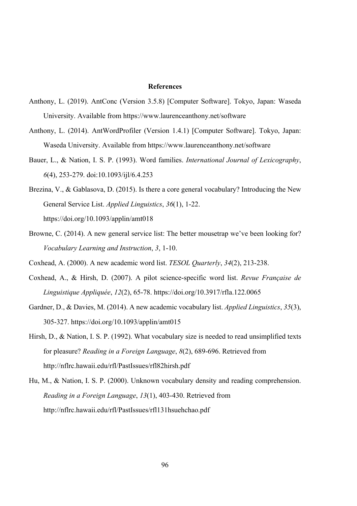#### **References**

- Anthony, L. (2019). AntConc (Version 3.5.8) [Computer Software]. Tokyo, Japan: Waseda University. Available from https://www.laurenceanthony.net/software
- Anthony, L. (2014). AntWordProfiler (Version 1.4.1) [Computer Software]. Tokyo, Japan: Waseda University. Available from https://www.laurenceanthony.net/software
- Bauer, L., & Nation, I. S. P. (1993). Word families. *International Journal of Lexicography*, *6*(4), 253-279. doi:10.1093/ijl/6.4.253
- Brezina, V., & Gablasova, D. (2015). Is there a core general vocabulary? Introducing the New General Service List. *Applied Linguistics*, *36*(1), 1-22. https://doi.org/10.1093/applin/amt018
- Browne, C. (2014). A new general service list: The better mousetrap we've been looking for? *Vocabulary Learning and Instruction*, *3*, 1-10.
- Coxhead, A. (2000). A new academic word list. *TESOL Quarterly*, *34*(2), 213-238.
- Coxhead, A., & Hirsh, D. (2007). A pilot science-specific word list. *Revue Française de Linguistique Appliquée*, *12*(2), 65-78. https://doi.org/10.3917/rfla.122.0065
- Gardner, D., & Davies, M. (2014). A new academic vocabulary list. *Applied Linguistics*, *35*(3), 305-327. https://doi.org/10.1093/applin/amt015
- Hirsh, D., & Nation, I. S. P. (1992). What vocabulary size is needed to read unsimplified texts for pleasure? *Reading in a Foreign Language*, *8*(2), 689-696. Retrieved from http://nflrc.hawaii.edu/rfl/PastIssues/rfl82hirsh.pdf
- Hu, M., & Nation, I. S. P. (2000). Unknown vocabulary density and reading comprehension. *Reading in a Foreign Language*, *13*(1), 403-430. Retrieved from http://nflrc.hawaii.edu/rfl/PastIssues/rfl131hsuehchao.pdf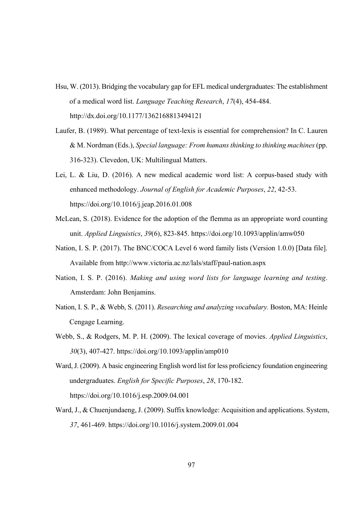- Hsu, W. (2013). Bridging the vocabulary gap for EFL medical undergraduates: The establishment of a medical word list. *Language Teaching Research*, *17*(4), 454-484. http://dx.doi.org/10.1177/1362168813494121
- Laufer, B. (1989). What percentage of text-lexis is essential for comprehension? In C. Lauren & M. Nordman (Eds.), *Special language: From humans thinking to thinking machines* (pp. 316-323). Clevedon, UK: Multilingual Matters.
- Lei, L. & Liu, D. (2016). A new medical academic word list: A corpus-based study with enhanced methodology. *Journal of English for Academic Purposes*, *22*, 42-53. https://doi.org/10.1016/j.jeap.2016.01.008
- McLean, S. (2018). Evidence for the adoption of the flemma as an appropriate word counting unit. *Applied Linguistics*, *39*(6), 823-845. https://doi.org/10.1093/applin/amw050
- Nation, I. S. P. (2017). The BNC/COCA Level 6 word family lists (Version 1.0.0) [Data file]. Available from http://www.victoria.ac.nz/lals/staff/paul-nation.aspx
- Nation, I. S. P. (2016). *Making and using word lists for language learning and testing*. Amsterdam: John Benjamins.
- Nation, I. S. P., & Webb, S. (2011). *Researching and analyzing vocabulary.* Boston, MA: Heinle Cengage Learning.
- Webb, S., & Rodgers, M. P. H. (2009). The lexical coverage of movies. *Applied Linguistics*, *30*(3), 407-427. https://doi.org/10.1093/applin/amp010
- Ward, J. (2009). A basic engineering English word list for less proficiency foundation engineering undergraduates. *English for Specific Purposes*, *28*, 170-182. https://doi.org/10.1016/j.esp.2009.04.001
- Ward, J., & Chuenjundaeng, J. (2009). Suffix knowledge: Acquisition and applications. System, *37*, 461-469. https://doi.org/10.1016/j.system.2009.01.004